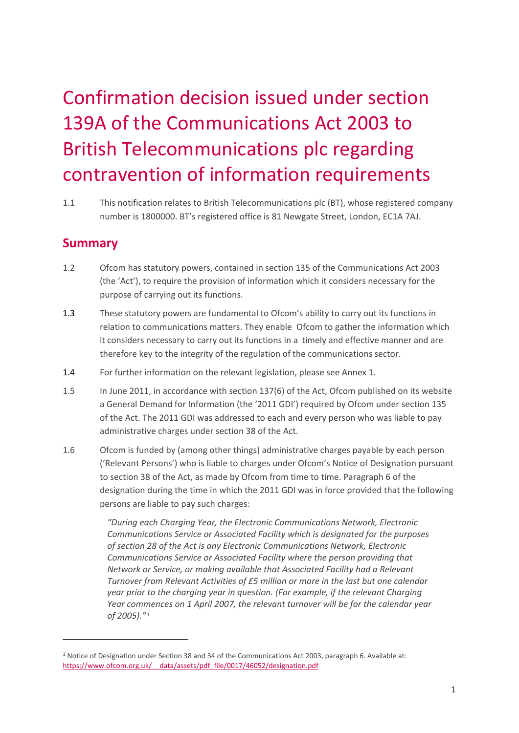# Confirmation decision issued under section 139A of the Communications Act 2003 to British Telecommunications plc regarding contravention of information requirements

1.1 This notification relates to British Telecommunications plc (BT), whose registered company number is 1800000. BT's registered office is 81 Newgate Street, London, EC1A 7AJ.

## **Summary**

 $\overline{a}$ 

- 1.2 Ofcom has statutory powers, contained in section 135 of the Communications Act 2003 (the 'Act'), to require the provision of information which it considers necessary for the purpose of carrying out its functions.
- 1.3 These statutory powers are fundamental to Ofcom's ability to carry out its functions in relation to communications matters. They enable Ofcom to gather the information which it considers necessary to carry out its functions in a timely and effective manner and are therefore key to the integrity of the regulation of the communications sector.
- 1.4 For further information on the relevant legislation, please see Annex 1.
- 1.5 In June 2011, in accordance with section 137(6) of the Act, Ofcom published on its website a General Demand for Information (the '2011 GDI') required by Ofcom under section 135 of the Act. The 2011 GDI was addressed to each and every person who was liable to pay administrative charges under section 38 of the Act.
- 1.6 Ofcom is funded by (among other things) administrative charges payable by each person ('Relevant Persons') who is liable to charges under Ofcom's Notice of Designation pursuant to section 38 of the Act, as made by Ofcom from time to time. Paragraph 6 of the designation during the time in which the 2011 GDI was in force provided that the following persons are liable to pay such charges:

*"During each Charging Year, the Electronic Communications Network, Electronic Communications Service or Associated Facility which is designated for the purposes of section 28 of the Act is any Electronic Communications Network, Electronic Communications Service or Associated Facility where the person providing that Network or Service, or making available that Associated Facility had a Relevant Turnover from Relevant Activities of £5 million or more in the last but one calendar year prior to the charging year in question. (For example, if the relevant Charging Year commences on 1 April 2007, the relevant turnover will be for the calendar year of 2005)." [1](#page-0-0)*

<span id="page-0-0"></span><sup>1</sup> Notice of Designation under Section 38 and 34 of the Communications Act 2003, paragraph 6. Available at: https://www.ofcom.org.uk/ data/assets/pdf file/0017/46052/designation.pdf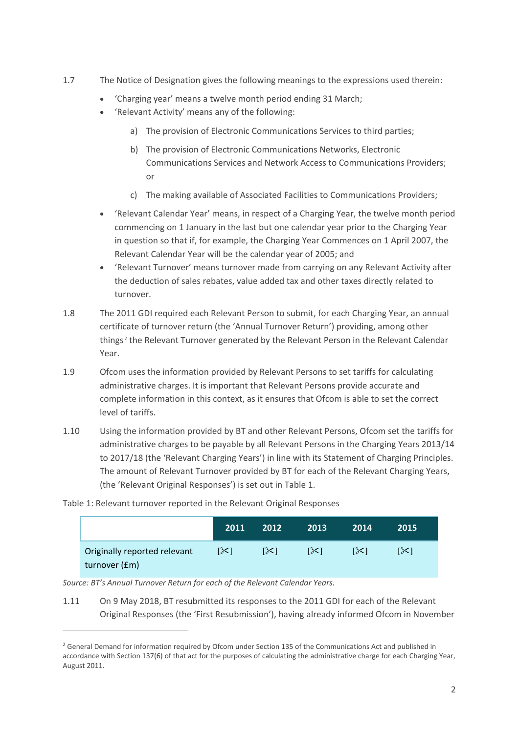- 1.7 The Notice of Designation gives the following meanings to the expressions used therein:
	- 'Charging year' means a twelve month period ending 31 March;
	- 'Relevant Activity' means any of the following:
		- a) The provision of Electronic Communications Services to third parties;
		- b) The provision of Electronic Communications Networks, Electronic Communications Services and Network Access to Communications Providers; or
		- c) The making available of Associated Facilities to Communications Providers;
	- 'Relevant Calendar Year' means, in respect of a Charging Year, the twelve month period commencing on 1 January in the last but one calendar year prior to the Charging Year in question so that if, for example, the Charging Year Commences on 1 April 2007, the Relevant Calendar Year will be the calendar year of 2005; and
	- 'Relevant Turnover' means turnover made from carrying on any Relevant Activity after the deduction of sales rebates, value added tax and other taxes directly related to turnover.
- 1.8 The 2011 GDI required each Relevant Person to submit, for each Charging Year, an annual certificate of turnover return (the 'Annual Turnover Return') providing, among other things [2](#page-1-0) the Relevant Turnover generated by the Relevant Person in the Relevant Calendar Year.
- 1.9 Ofcom uses the information provided by Relevant Persons to set tariffs for calculating administrative charges. It is important that Relevant Persons provide accurate and complete information in this context, as it ensures that Ofcom is able to set the correct level of tariffs.
- 1.10 Using the information provided by BT and other Relevant Persons, Ofcom set the tariffs for administrative charges to be payable by all Relevant Persons in the Charging Years 2013/14 to 2017/18 (the 'Relevant Charging Years') in line with its Statement of Charging Principles. The amount of Relevant Turnover provided by BT for each of the Relevant Charging Years, (the 'Relevant Original Responses') is set out in Table 1.

|                                               | 2011       | 2012 | 2013 | 2014 | 2015 |
|-----------------------------------------------|------------|------|------|------|------|
| Originally reported relevant<br>turnover (£m) | $[\infty]$ | [X]  | 1XI  | 1XI  | [≻]  |

Table 1: Relevant turnover reported in the Relevant Original Responses

*Source: BT's Annual Turnover Return for each of the Relevant Calendar Years.* 

.<br>-

1.11 On 9 May 2018, BT resubmitted its responses to the 2011 GDI for each of the Relevant Original Responses (the 'First Resubmission'), having already informed Ofcom in November

<span id="page-1-0"></span><sup>&</sup>lt;sup>2</sup> General Demand for information required by Ofcom under Section 135 of the Communications Act and published in accordance with Section 137(6) of that act for the purposes of calculating the administrative charge for each Charging Year, August 2011.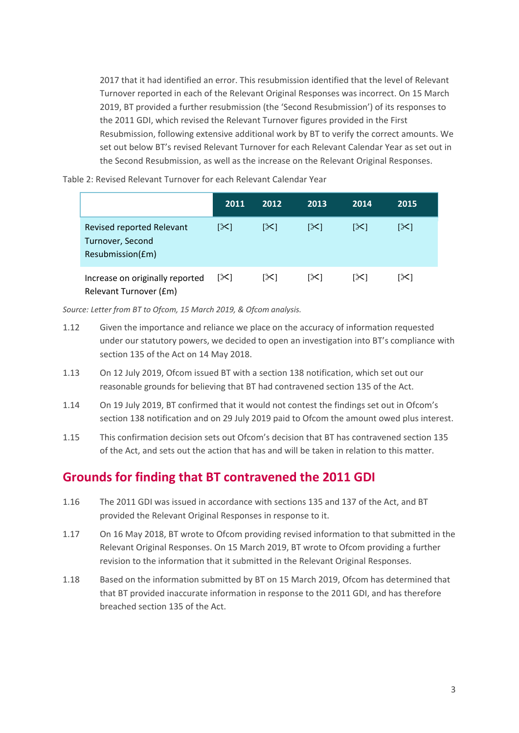2017 that it had identified an error. This resubmission identified that the level of Relevant Turnover reported in each of the Relevant Original Responses was incorrect. On 15 March 2019, BT provided a further resubmission (the 'Second Resubmission') of its responses to the 2011 GDI, which revised the Relevant Turnover figures provided in the First Resubmission, following extensive additional work by BT to verify the correct amounts. We set out below BT's revised Relevant Turnover for each Relevant Calendar Year as set out in the Second Resubmission, as well as the increase on the Relevant Original Responses.

Table 2: Revised Relevant Turnover for each Relevant Calendar Year

|                                                                   | 2011 | 2012 | 2013 | 2014 | 2015 |
|-------------------------------------------------------------------|------|------|------|------|------|
| Revised reported Relevant<br>Turnover, Second<br>Resubmission(£m) | [≻[  | [X]  | [X]  | [X]  | [╳]  |
| Increase on originally reported<br>Relevant Turnover (£m)         | [X]  | ו≫ו  | ا≫ا  | ו≫ו  | ו≫ו  |

*Source: Letter from BT to Ofcom, 15 March 2019, & Ofcom analysis.*

- 1.12 Given the importance and reliance we place on the accuracy of information requested under our statutory powers, we decided to open an investigation into BT's compliance with section 135 of the Act on 14 May 2018.
- 1.13 On 12 July 2019, Ofcom issued BT with a section 138 notification, which set out our reasonable grounds for believing that BT had contravened section 135 of the Act.
- 1.14 On 19 July 2019, BT confirmed that it would not contest the findings set out in Ofcom's section 138 notification and on 29 July 2019 paid to Ofcom the amount owed plus interest.
- 1.15 This confirmation decision sets out Ofcom's decision that BT has contravened section 135 of the Act, and sets out the action that has and will be taken in relation to this matter.

## **Grounds for finding that BT contravened the 2011 GDI**

- 1.16 The 2011 GDI was issued in accordance with sections 135 and 137 of the Act, and BT provided the Relevant Original Responses in response to it.
- 1.17 On 16 May 2018, BT wrote to Ofcom providing revised information to that submitted in the Relevant Original Responses. On 15 March 2019, BT wrote to Ofcom providing a further revision to the information that it submitted in the Relevant Original Responses.
- 1.18 Based on the information submitted by BT on 15 March 2019, Ofcom has determined that that BT provided inaccurate information in response to the 2011 GDI, and has therefore breached section 135 of the Act.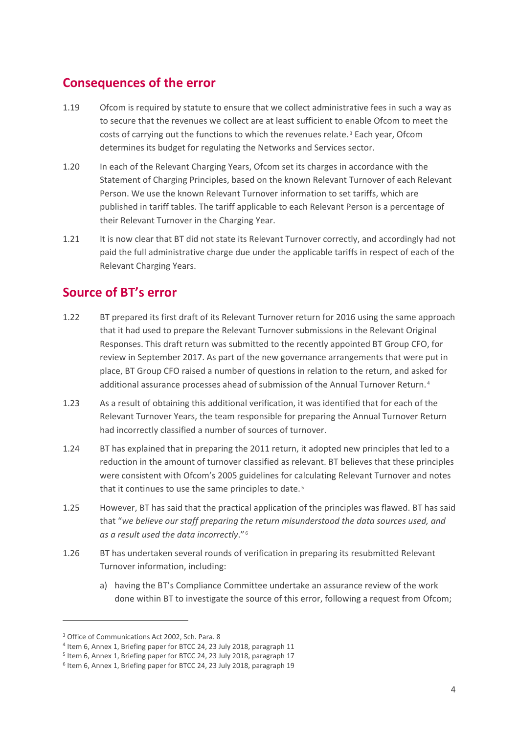## **Consequences of the error**

- 1.19 Ofcom is required by statute to ensure that we collect administrative fees in such a way as to secure that the revenues we collect are at least sufficient to enable Ofcom to meet the costs of carrying out the functions to which the revenues relate. [3](#page-3-0) Each year, Ofcom determines its budget for regulating the Networks and Services sector.
- 1.20 In each of the Relevant Charging Years, Ofcom set its charges in accordance with the Statement of Charging Principles, based on the known Relevant Turnover of each Relevant Person. We use the known Relevant Turnover information to set tariffs, which are published in tariff tables. The tariff applicable to each Relevant Person is a percentage of their Relevant Turnover in the Charging Year.
- 1.21 It is now clear that BT did not state its Relevant Turnover correctly, and accordingly had not paid the full administrative charge due under the applicable tariffs in respect of each of the Relevant Charging Years.

## **Source of BT's error**

- 1.22 BT prepared its first draft of its Relevant Turnover return for 2016 using the same approach that it had used to prepare the Relevant Turnover submissions in the Relevant Original Responses. This draft return was submitted to the recently appointed BT Group CFO, for review in September 2017. As part of the new governance arrangements that were put in place, BT Group CFO raised a number of questions in relation to the return, and asked for additional assurance processes ahead of submission of the Annual Turnover Return. [4](#page-3-1)
- 1.23 As a result of obtaining this additional verification, it was identified that for each of the Relevant Turnover Years, the team responsible for preparing the Annual Turnover Return had incorrectly classified a number of sources of turnover.
- 1.24 BT has explained that in preparing the 2011 return, it adopted new principles that led to a reduction in the amount of turnover classified as relevant. BT believes that these principles were consistent with Ofcom's 2005 guidelines for calculating Relevant Turnover and notes that it continues to use the same principles to date. [5](#page-3-2)
- 1.25 However, BT has said that the practical application of the principles was flawed. BT has said that "*we believe our staff preparing the return misunderstood the data sources used, and as a result used the data incorrectly*." [6](#page-3-3)
- 1.26 BT has undertaken several rounds of verification in preparing its resubmitted Relevant Turnover information, including:
	- a) having the BT's Compliance Committee undertake an assurance review of the work done within BT to investigate the source of this error, following a request from Ofcom;

<u>.</u>

<span id="page-3-0"></span><sup>3</sup> Office of Communications Act 2002, Sch. Para. 8

<span id="page-3-1"></span><sup>4</sup> Item 6, Annex 1, Briefing paper for BTCC 24, 23 July 2018, paragraph 11

<span id="page-3-2"></span><sup>5</sup> Item 6, Annex 1, Briefing paper for BTCC 24, 23 July 2018, paragraph 17

<span id="page-3-3"></span><sup>6</sup> Item 6, Annex 1, Briefing paper for BTCC 24, 23 July 2018, paragraph 19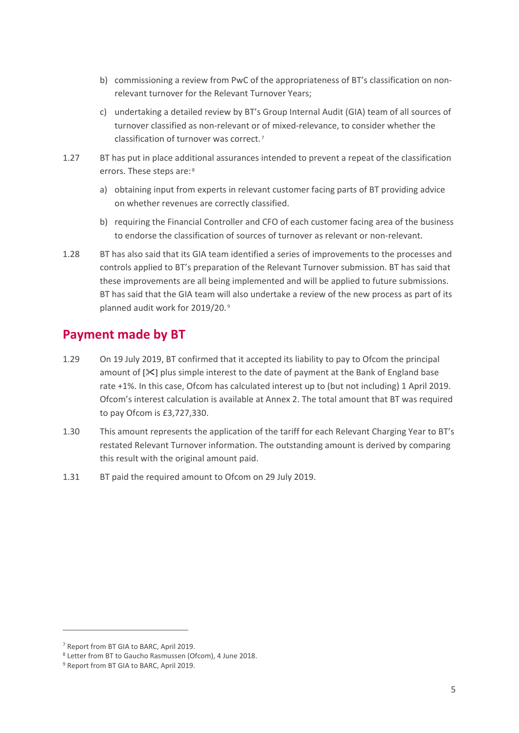- b) commissioning a review from PwC of the appropriateness of BT's classification on nonrelevant turnover for the Relevant Turnover Years;
- c) undertaking a detailed review by BT's Group Internal Audit (GIA) team of all sources of turnover classified as non-relevant or of mixed-relevance, to consider whether the classification of turnover was correct. [7](#page-4-0)
- 1.27 BT has put in place additional assurances intended to prevent a repeat of the classification errors. These steps are: [8](#page-4-1)
	- a) obtaining input from experts in relevant customer facing parts of BT providing advice on whether revenues are correctly classified.
	- b) requiring the Financial Controller and CFO of each customer facing area of the business to endorse the classification of sources of turnover as relevant or non-relevant.
- 1.28 BT has also said that its GIA team identified a series of improvements to the processes and controls applied to BT's preparation of the Relevant Turnover submission. BT has said that these improvements are all being implemented and will be applied to future submissions. BT has said that the GIA team will also undertake a review of the new process as part of its planned audit work for 2019/20. [9](#page-4-2)

## **Payment made by BT**

- 1.29 On 19 July 2019, BT confirmed that it accepted its liability to pay to Ofcom the principal amount of  $[\frac{1}{2}]$  plus simple interest to the date of payment at the Bank of England base rate +1%. In this case, Ofcom has calculated interest up to (but not including) 1 April 2019. Ofcom's interest calculation is available at Annex 2. The total amount that BT was required to pay Ofcom is £3,727,330.
- 1.30 This amount represents the application of the tariff for each Relevant Charging Year to BT's restated Relevant Turnover information. The outstanding amount is derived by comparing this result with the original amount paid.
- 1.31 BT paid the required amount to Ofcom on 29 July 2019.

.<br>-

<span id="page-4-0"></span><sup>7</sup> Report from BT GIA to BARC, April 2019.

<span id="page-4-1"></span><sup>8</sup> Letter from BT to Gaucho Rasmussen (Ofcom), 4 June 2018.

<span id="page-4-2"></span><sup>&</sup>lt;sup>9</sup> Report from BT GIA to BARC, April 2019.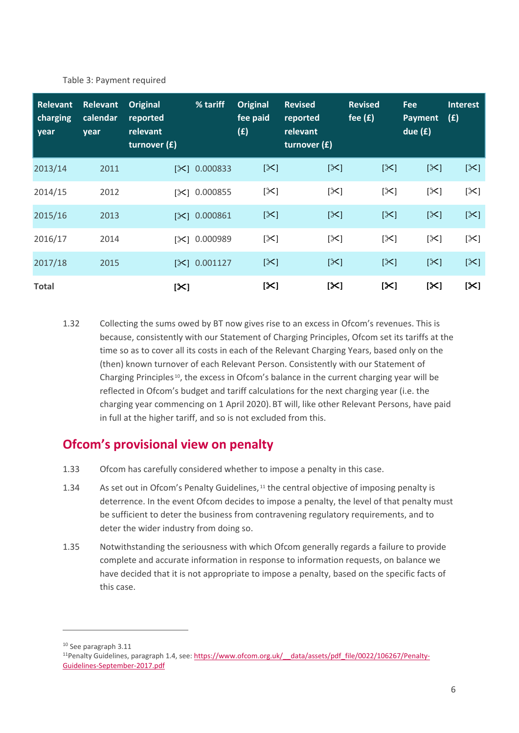| <b>Relevant</b><br>charging<br>year | <b>Relevant</b><br>calendar<br>year | <b>Original</b><br>reported<br>relevant<br>turnover (£) | % tariff            | <b>Original</b><br>fee paid<br>(E) | <b>Revised</b><br>reported<br>relevant<br>turnover $(f)$ | <b>Revised</b><br>fee $(f)$ | <b>Fee</b><br><b>Payment</b><br>due $(f)$ | <b>Interest</b><br>(E) |
|-------------------------------------|-------------------------------------|---------------------------------------------------------|---------------------|------------------------------------|----------------------------------------------------------|-----------------------------|-------------------------------------------|------------------------|
| 2013/14                             | 2011                                |                                                         | $[\times] 0.000833$ | $[\times]$                         | $[\times]$                                               | $[\times]$                  | $[\mathbb{X}]$                            | $[\mathbb{X}]$         |
| 2014/15                             | 2012                                |                                                         | $[\times] 0.000855$ | $[\times]$                         | $[\times]$                                               | $[\times]$                  | $[\times]$                                | $[\times]$             |
| 2015/16                             | 2013                                |                                                         | $[\times] 0.000861$ | $[\times]$                         | $[\times]$                                               | $[\times]$                  | $[\mathbb{X}]$                            | $[\mathbb{X}]$         |
| 2016/17                             | 2014                                | [≻3                                                     | 0.000989            | $[\times]$                         | $[\times]$                                               | $[\times]$                  | $[\times]$                                | $[\mathbb{X}]$         |
| 2017/18                             | 2015                                |                                                         | $[\times] 0.001127$ | $[\times]$                         | $[\times]$                                               | $[\times]$                  | $[\times]$                                | $[\times]$             |
| <b>Total</b>                        |                                     | $[\mathsf{X}]$                                          |                     | $[\infty]$                         | $[\mathsf{X}]$                                           | $[\infty]$                  | $[\times]$                                | $[\infty]$             |

Table 3: Payment required

1.32 Collecting the sums owed by BT now gives rise to an excess in Ofcom's revenues. This is because, consistently with our Statement of Charging Principles, Ofcom set its tariffs at the time so as to cover all its costs in each of the Relevant Charging Years, based only on the (then) known turnover of each Relevant Person. Consistently with our Statement of Charging Principles [10,](#page-5-0) the excess in Ofcom's balance in the current charging year will be reflected in Ofcom's budget and tariff calculations for the next charging year (i.e. the charging year commencing on 1 April 2020).BT will, like other Relevant Persons, have paid in full at the higher tariff, and so is not excluded from this.

## **Ofcom's provisional view on penalty**

- 1.33 Ofcom has carefully considered whether to impose a penalty in this case.
- 1.34 As set out in Ofcom's Penalty Guidelines, [11](#page-5-1) the central objective of imposing penalty is deterrence. In the event Ofcom decides to impose a penalty, the level of that penalty must be sufficient to deter the business from contravening regulatory requirements, and to deter the wider industry from doing so.
- 1.35 Notwithstanding the seriousness with which Ofcom generally regards a failure to provide complete and accurate information in response to information requests, on balance we have decided that it is not appropriate to impose a penalty, based on the specific facts of this case.

.<br>-

<span id="page-5-0"></span><sup>10</sup> See paragraph 3.11

<span id="page-5-1"></span><sup>11</sup>Penalty Guidelines, paragraph 1.4, see: [https://www.ofcom.org.uk/\\_\\_data/assets/pdf\\_file/0022/106267/Penalty-](https://www.ofcom.org.uk/__data/assets/pdf_file/0022/106267/Penalty-Guidelines-September-2017.pdf)[Guidelines-September-2017.pdf](https://www.ofcom.org.uk/__data/assets/pdf_file/0022/106267/Penalty-Guidelines-September-2017.pdf)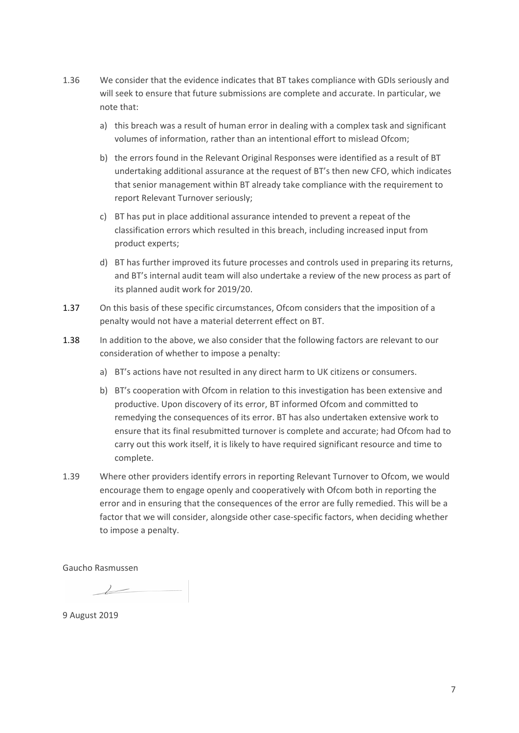- 1.36 We consider that the evidence indicates that BT takes compliance with GDIs seriously and will seek to ensure that future submissions are complete and accurate. In particular, we note that:
	- a) this breach was a result of human error in dealing with a complex task and significant volumes of information, rather than an intentional effort to mislead Ofcom;
	- b) the errors found in the Relevant Original Responses were identified as a result of BT undertaking additional assurance at the request of BT's then new CFO, which indicates that senior management within BT already take compliance with the requirement to report Relevant Turnover seriously;
	- c) BT has put in place additional assurance intended to prevent a repeat of the classification errors which resulted in this breach, including increased input from product experts;
	- d) BT has further improved its future processes and controls used in preparing its returns, and BT's internal audit team will also undertake a review of the new process as part of its planned audit work for 2019/20.
- 1.37 On this basis of these specific circumstances, Ofcom considers that the imposition of a penalty would not have a material deterrent effect on BT.
- 1.38 In addition to the above, we also consider that the following factors are relevant to our consideration of whether to impose a penalty:
	- a) BT's actions have not resulted in any direct harm to UK citizens or consumers.
	- b) BT's cooperation with Ofcom in relation to this investigation has been extensive and productive. Upon discovery of its error, BT informed Ofcom and committed to remedying the consequences of its error. BT has also undertaken extensive work to ensure that its final resubmitted turnover is complete and accurate; had Ofcom had to carry out this work itself, it is likely to have required significant resource and time to complete.
- 1.39 Where other providers identify errors in reporting Relevant Turnover to Ofcom, we would encourage them to engage openly and cooperatively with Ofcom both in reporting the error and in ensuring that the consequences of the error are fully remedied. This will be a factor that we will consider, alongside other case-specific factors, when deciding whether to impose a penalty.

Gaucho Rasmussen

 $\overline{\phantom{a}}$ 

9 August 2019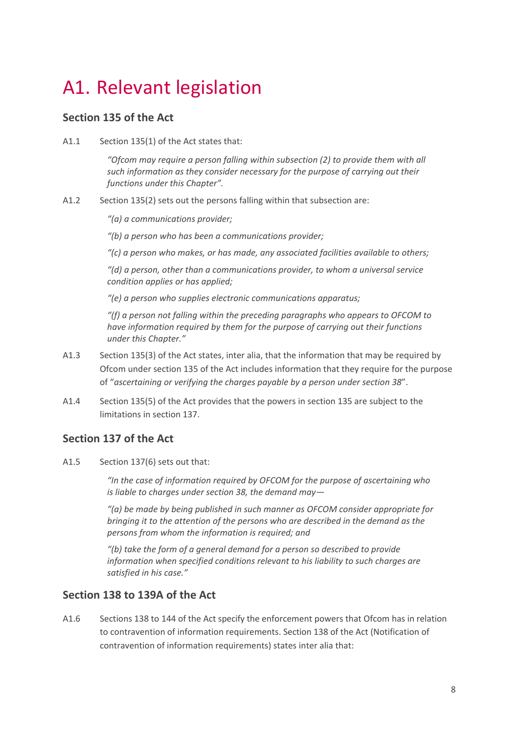## A1. Relevant legislation

#### **Section 135 of the Act**

A1.1 Section 135(1) of the Act states that:

*"Ofcom may require a person falling within subsection (2) to provide them with all such information as they consider necessary for the purpose of carrying out their functions under this Chapter".*

A1.2 Section 135(2) sets out the persons falling within that subsection are:

*"(a) a communications provider;*

*"(b) a person who has been a communications provider;*

*"(c) a person who makes, or has made, any associated facilities available to others;*

*"(d) a person, other than a communications provider, to whom a universal service condition applies or has applied;*

*"(e) a person who supplies electronic communications apparatus;*

*"(f) a person not falling within the preceding paragraphs who appears to OFCOM to have information required by them for the purpose of carrying out their functions under this Chapter."*

- A1.3 Section 135(3) of the Act states, inter alia, that the information that may be required by Ofcom under section 135 of the Act includes information that they require for the purpose of "*ascertaining or verifying the charges payable by a person under section 38*".
- A1.4 Section 135(5) of the Act provides that the powers in section 135 are subject to the limitations in section 137.

### **Section 137 of the Act**

A1.5 Section 137(6) sets out that:

*"In the case of information required by OFCOM for the purpose of ascertaining who is liable to charges under section 38, the demand may—*

*"(a) be made by being published in such manner as OFCOM consider appropriate for bringing it to the attention of the persons who are described in the demand as the persons from whom the information is required; and*

*"(b) take the form of a general demand for a person so described to provide information when specified conditions relevant to his liability to such charges are satisfied in his case."*

### **Section 138 to 139A of the Act**

A1.6 Sections 138 to 144 of the Act specify the enforcement powers that Ofcom has in relation to contravention of information requirements. Section 138 of the Act (Notification of contravention of information requirements) states inter alia that: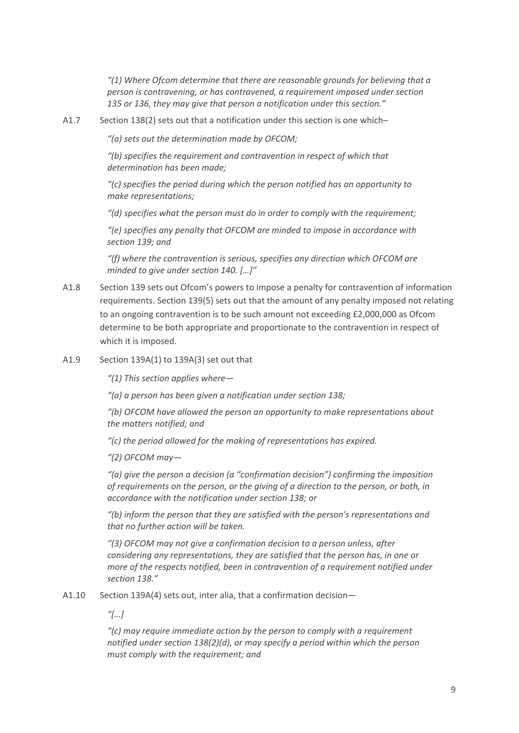*"(1) Where Ofcom determine that there are reasonable grounds for believing that a person is contravening, or has contravened, a requirement imposed under section 135 or 136, they may give that person a notification under this section."*

A1.7 Section 138(2) sets out that a notification under this section is one which–

*"(a) sets out the determination made by OFCOM;*

*"(b) specifies the requirement and contravention in respect of which that determination has been made;*

*"(c) specifies the period during which the person notified has an opportunity to make representations;*

*"(d) specifies what the person must do in order to comply with the requirement;*

*"(e) specifies any penalty that OFCOM are minded to impose in accordance with section 139; and*

*"(f) where the contravention is serious, specifies any direction which OFCOM are minded to give under section 140. […]"*

- A1.8 Section 139 sets out Ofcom's powers to impose a penalty for contravention of information requirements. Section 139(5) sets out that the amount of any penalty imposed not relating to an ongoing contravention is to be such amount not exceeding £2,000,000 as Ofcom determine to be both appropriate and proportionate to the contravention in respect of which it is imposed.
- A1.9 Section 139A(1) to 139A(3) set out that

*"(1) This section applies where—*

*"(a) a person has been given a notification under section 138;*

*"(b) OFCOM have allowed the person an opportunity to make representations about the matters notified; and*

*"(c) the period allowed for the making of representations has expired.*

*"(2) OFCOM may—*

*"(a) give the person a decision (a "confirmation decision") confirming the imposition of requirements on the person, or the giving of a direction to the person, or both, in accordance with the notification under section 138; or*

*"(b) inform the person that they are satisfied with the person's representations and that no further action will be taken.*

*"(3) OFCOM may not give a confirmation decision to a person unless, after considering any representations, they are satisfied that the person has, in one or more of the respects notified, been in contravention of a requirement notified under section 138."*

A1.10 Section 139A(4) sets out, inter alia, that a confirmation decision—

*"[…]*

*"(c) may require immediate action by the person to comply with a requirement notified under section 138(2)(d), or may specify a period within which the person must comply with the requirement; and*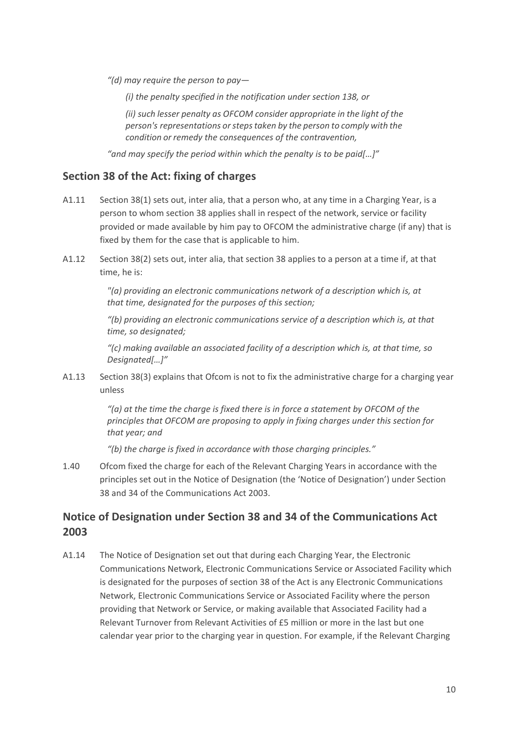*"(d) may require the person to pay—*

*(i) the penalty specified in the notification under section 138, or*

*(ii) such lesser penalty as OFCOM consider appropriate in the light of the person's representations orstepstaken by the person to comply with the condition or remedy the consequences of the contravention,*

*"and may specify the period within which the penalty is to be paid[…]"*

#### **Section 38 of the Act: fixing of charges**

- A1.11 Section 38(1) sets out, inter alia, that a person who, at any time in a Charging Year, is a person to whom section 38 applies shall in respect of the network, service or facility provided or made available by him pay to OFCOM the administrative charge (if any) that is fixed by them for the case that is applicable to him.
- A1.12 Section 38(2) sets out, inter alia, that section 38 applies to a person at a time if, at that time, he is:

*"(a) providing an electronic communications network of a description which is, at that time, designated for the purposes of this section;*

*"(b) providing an electronic communications service of a description which is, at that time, so designated;*

*"(c) making available an associated facility of a description which is, at that time, so Designated[…]"*

A1.13 Section 38(3) explains that Ofcom is not to fix the administrative charge for a charging year unless

> *"(a) at the time the charge is fixed there is in force a statement by OFCOM of the principles that OFCOM are proposing to apply in fixing charges under this section for that year; and*

*"(b) the charge is fixed in accordance with those charging principles."*

1.40 Ofcom fixed the charge for each of the Relevant Charging Years in accordance with the principles set out in the Notice of Designation (the 'Notice of Designation') under Section 38 and 34 of the Communications Act 2003.

### **Notice of Designation under Section 38 and 34 of the Communications Act 2003**

A1.14 The Notice of Designation set out that during each Charging Year, the Electronic Communications Network, Electronic Communications Service or Associated Facility which is designated for the purposes of section 38 of the Act is any Electronic Communications Network, Electronic Communications Service or Associated Facility where the person providing that Network or Service, or making available that Associated Facility had a Relevant Turnover from Relevant Activities of £5 million or more in the last but one calendar year prior to the charging year in question. For example, if the Relevant Charging